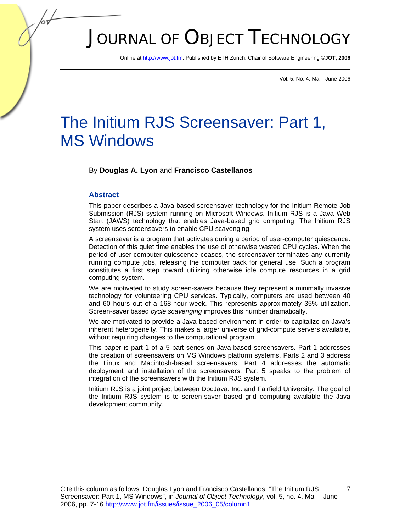# JOURNAL OF OBJECT TECHNOLOGY

Online at http://www.jot.fm. Published by ETH Zurich, Chair of Software Engineering ©**JOT, 2006** 

Vol. 5, No. 4, Mai - June 2006

## The Initium RJS Screensaver: Part 1, MS Windows

By **Douglas A. Lyon** and **Francisco Castellanos**

#### **Abstract**

This paper describes a Java-based screensaver technology for the Initium Remote Job Submission (RJS) system running on Microsoft Windows. Initium RJS is a Java Web Start (JAWS) technology that enables Java-based grid computing. The Initium RJS system uses screensavers to enable CPU scavenging.

A screensaver is a program that activates during a period of user-computer quiescence. Detection of this quiet time enables the use of otherwise wasted CPU cycles. When the period of user-computer quiescence ceases, the screensaver terminates any currently running compute jobs, releasing the computer back for general use. Such a program constitutes a first step toward utilizing otherwise idle compute resources in a grid computing system.

We are motivated to study screen-savers because they represent a minimally invasive technology for volunteering CPU services. Typically, computers are used between 40 and 60 hours out of a 168-hour week. This represents approximately 35% utilization. Screen-saver based *cycle scavenging* improves this number dramatically.

We are motivated to provide a Java-based environment in order to capitalize on Java's inherent heterogeneity. This makes a larger universe of grid-compute servers available, without requiring changes to the computational program.

This paper is part 1 of a 5 part series on Java-based screensavers. Part 1 addresses the creation of screensavers on MS Windows platform systems. Parts 2 and 3 address the Linux and Macintosh-based screensavers. Part 4 addresses the automatic deployment and installation of the screensavers. Part 5 speaks to the problem of integration of the screensavers with the Initium RJS system.

Initium RJS is a joint project between DocJava, Inc. and Fairfield University. The goal of the Initium RJS system is to screen-saver based grid computing available the Java development community.

7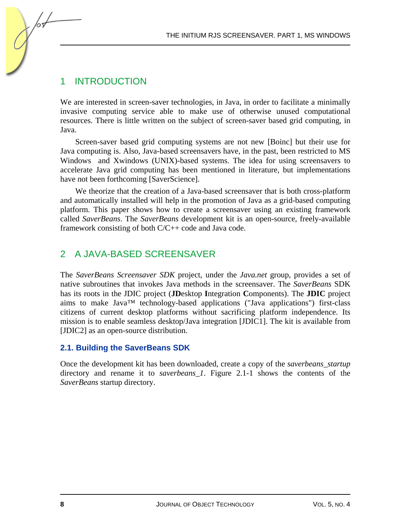## 1 INTRODUCTION

We are interested in screen-saver technologies, in Java, in order to facilitate a minimally invasive computing service able to make use of otherwise unused computational resources. There is little written on the subject of screen-saver based grid computing, in Java.

Screen-saver based grid computing systems are not new [Boinc] but their use for Java computing is. Also, Java-based screensavers have, in the past, been restricted to MS Windows and Xwindows (UNIX)-based systems. The idea for using screensavers to accelerate Java grid computing has been mentioned in literature, but implementations have not been forthcoming [SaverScience].

We theorize that the creation of a Java-based screensaver that is both cross-platform and automatically installed will help in the promotion of Java as a grid-based computing platform. This paper shows how to create a screensaver using an existing framework called *SaverBeans*. The *SaverBeans* development kit is an open-source, freely-available framework consisting of both C/C++ code and Java code.

## 2 A JAVA-BASED SCREENSAVER

The *SaverBeans Screensaver SDK* project, under the *Java.net* group, provides a set of native subroutines that invokes Java methods in the screensaver. The *SaverBeans* SDK has its roots in the JDIC project (**JD**esktop **I**ntegration **C**omponents). The **JDIC** project aims to make Java™ technology-based applications ("Java applications") first-class citizens of current desktop platforms without sacrificing platform independence. Its mission is to enable seamless desktop/Java integration [JDIC1]. The kit is available from [JDIC2] as an open-source distribution.

### **2.1. Building the SaverBeans SDK**

Once the development kit has been downloaded, create a copy of the *saverbeans*\_*startup* directory and rename it to *saverbeans\_1*. Figure 2.1-1 shows the contents of the *SaverBeans* startup directory.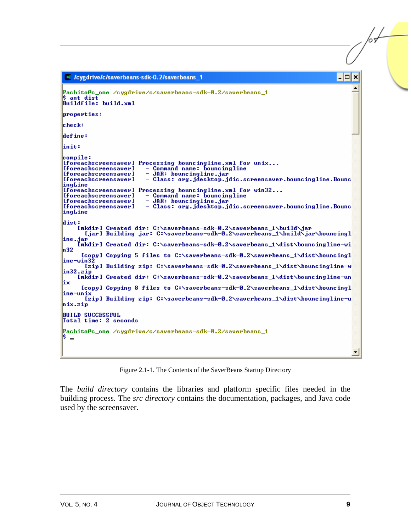```
E /cygdrive/c/saverbeans-sdk-0.2/saverbeans_1
                                                                                  - |□| ×
Pachito@c_one /cygdrive/c/saverbeans-sdk-0.2/saverbeans_1
\frac{2}{3} ant dist<br>Buildfile: build.xml
properties:
\mathbf{leheck:}define:
linit:
compile:
[foreachscreensaver] Processing bouncingline.xml for unix...
                        - Command name: bouncingline<br>- JAR: bouncingline.jar
[foreachscreensaver]
[foreachscreensaver]
                         - Class: org.jdesktop.jdic.screensaver.bouncingline.Bounc
[foreachscreensaver]
ingLine
- Class: org.jdesktop.jdic.screensaver.bouncingline.Bounc
[foreachscreensaver]
ingLine
dist:
    [mkdir] Created dir: C:\saverbeans-sdk-0.2\saverbeans_1\build\jar
      [jar] Building jar: C:\saverbeans-sdk-0.2\saverbeans_1\build\jar\bouncingl
ine.jar
     ...<br>[mkdir] Created dir: C:\saverbeans-sdk-0.2\saverbeans_1\dist\bouncingline-wi
h32
     [copy] Copying 5 files to C:\saverbeans-sdk-0.2\saverbeans_1\dist\bouncingl
|{\tt inc}\text{-}\sf win3|Izipl Building zip: C:\saverbeans-sdk-0.2\saverbeans_1\dist\bouncingline-w
\ln 32.\overline{\text{zip}}Imkdir] Created dir: C:\saverbeans-sdk-0.2\saverbeans_1\dist\bouncingline-un
lix
     [copy] Copying 8 files to C:\saverbeans-sdk-0.2\saverbeans_1\dist\bouncingl
line-unix
      [zip] Building zip: C:\saverbeans-sdk-0.2\saverbeans_1\dist\bouncingline-u
hix.zip
BUILD SUCCESSFUL
Total time: 2 seconds
Pachito@c_one /cygdrive/c/saverbeans-sdk-0.2/saverbeans_1
 \overline{\phantom{a}}
```
Figure 2.1-1. The Contents of the SaverBeans Startup Directory

The *build directory* contains the libraries and platform specific files needed in the building process. The *src directory* contains the documentation, packages, and Java code used by the screensaver.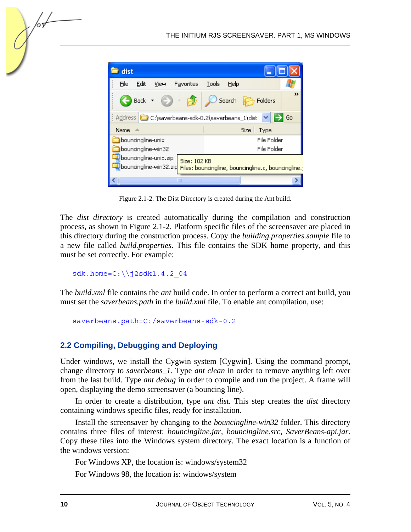

Figure 2.1-2. The Dist Directory is created during the Ant build.

The *dist directory* is created automatically during the compilation and construction process, as shown in Figure 2.1-2. Platform specific files of the screensaver are placed in this directory during the construction process. Copy the *building.properties.sample* file to a new file called *build.properties*. This file contains the SDK home property, and this must be set correctly. For example:

 $sdk.home=C:\\\j2sdk1.4.2$  04

The *build.xml* file contains the *ant* build code. In order to perform a correct ant build, you must set the *saverbeans.path* in the *build.xml* file. To enable ant compilation, use:

```
saverbeans.path=C:/saverbeans-sdk-0.2
```
#### **2.2 Compiling, Debugging and Deploying**

Under windows, we install the Cygwin system [Cygwin]. Using the command prompt, change directory to *saverbeans\_1*. Type *ant clean* in order to remove anything left over from the last build. Type *ant debug* in order to compile and run the project. A frame will open, displaying the demo screensaver (a bouncing line).

In order to create a distribution, type *ant dist.* This step creates the *dist* directory containing windows specific files, ready for installation.

Install the screensaver by changing to the *bouncingline-win32* folder. This directory contains three files of interest: *bouncingline.jar, bouncingline.src, SaverBeans-api.jar*. Copy these files into the Windows system directory. The exact location is a function of the windows version:

For Windows XP, the location is: windows/system32

For Windows 98, the location is: windows/system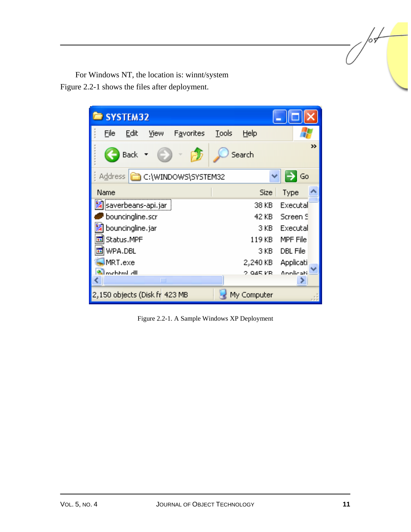For Windows NT, the location is: winnt/system Figure 2.2-1 shows the files after deployment.

| SYSTEM32                          |       |             |           |  |
|-----------------------------------|-------|-------------|-----------|--|
| Eile<br>Edit<br>View<br>Favorites | Tools | Help        |           |  |
| <b>Back</b>                       |       | Search      | 33        |  |
| C:\WINDOWS\SYSTEM32<br>Address    |       |             | Go        |  |
| Name                              |       | Size        | Type      |  |
| <mark>舅</mark> saverbeans-api.jar |       | 38 KB       | Executal  |  |
| bouncingline.scr                  |       | 42 KB       | Screen S  |  |
| bouncingline.jar                  |       | 3 KB        | Executal  |  |
| Status.MPF                        |       | 119 KB      | MPF File  |  |
| WPA.DBL                           |       | 3 KB.       | DBL File  |  |
| MRT.exe                           |       | 2,240 KB    | Applicati |  |
| lmehtml dll                       |       | $2.045$ KB. | Annlicati |  |
| Ш                                 |       |             |           |  |
| 2,150 objects (Disk fr 423 MB     |       | My Computer |           |  |

Figure 2.2-1. A Sample Windows XP Deployment

/or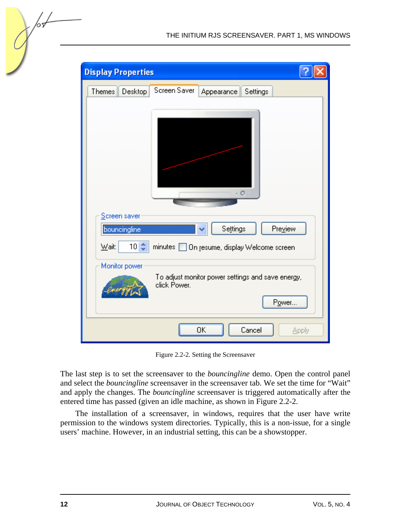| <b>Display Properties</b>                                                                   |  |
|---------------------------------------------------------------------------------------------|--|
| Screen Saver<br>Desktop<br>Themes<br>Settings<br>Appearance                                 |  |
| O                                                                                           |  |
| Screen saver<br>bouncingline<br>Settings<br>Preview                                         |  |
| $10 \div$<br>Wait:<br>minutes   On resume, display Welcome screen                           |  |
| Monitor power<br>To adjust monitor power settings and save energy,<br>click Power.<br>Power |  |
| ΟK<br>Cancel<br>Apply                                                                       |  |

Figure 2.2-2. Setting the Screensaver

The last step is to set the screensaver to the *bouncingline* demo. Open the control panel and select the *bouncingline* screensaver in the screensaver tab. We set the time for "Wait" and apply the changes. The *bouncingline* screensaver is triggered automatically after the entered time has passed (given an idle machine, as shown in Figure 2.2-2.

The installation of a screensaver, in windows, requires that the user have write permission to the windows system directories. Typically, this is a non-issue, for a single users' machine. However, in an industrial setting, this can be a showstopper.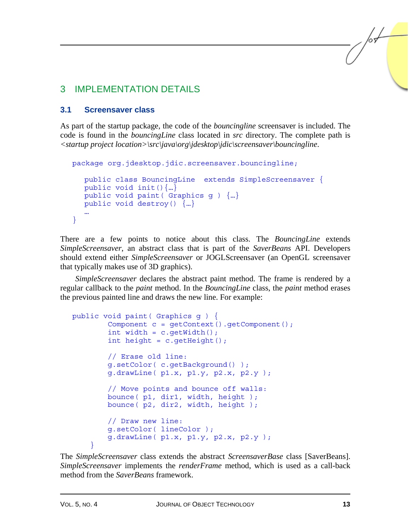## 3 IMPLEMENTATION DETAILS

#### **3.1 Screensaver class**

As part of the startup package, the code of the *bouncingline* screensaver is included. The code is found in the *bouncingLine* class located in *src* directory. The complete path is *<startup project location>\src\java\org\jdesktop\jdic\screensaver\bouncingline*.

```
package org.jdesktop.jdic.screensaver.bouncingline; 
   public class BouncingLine extends SimpleScreensaver { 
  public void init()\{...\} public void paint( Graphics g ) {…} 
   public void destroy() {…} 
   … 
}
```
There are a few points to notice about this class. The *BouncingLine* extends *SimpleScreensaver*, an abstract class that is part of the *SaverBeans* API. Developers should extend either *SimpleScreensaver* or JOGLScreensaver (an OpenGL screensaver that typically makes use of 3D graphics).

*SimpleScreensaver* declares the abstract paint method. The frame is rendered by a regular callback to the *paint* method. In the *BouncingLine* class, the *paint* method erases the previous painted line and draws the new line. For example:

```
public void paint( Graphics g ) { 
         Component c = getContext().getComponent(); 
        int width = c.getWidth();
        int height = c.getHeight();
         // Erase old line: 
         g.setColor( c.getBackground() ); 
         g.drawLine( p1.x, p1.y, p2.x, p2.y ); 
         // Move points and bounce off walls: 
         bounce( p1, dir1, width, height ); 
         bounce( p2, dir2, width, height );
         // Draw new line: 
         g.setColor( lineColor ); 
         g.drawLine( p1.x, p1.y, p2.x, p2.y ); 
 }
```
The *SimpleScreensaver* class extends the abstract *ScreensaverBase* class [SaverBeans]. *SimpleScreensaver* implements the *renderFrame* method, which is used as a call-back method from the *SaverBeans* framework.

/sL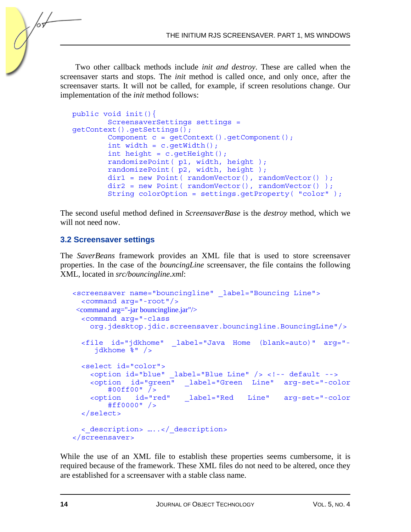Two other callback methods include *init and destroy*. These are called when the screensaver starts and stops. The *init* method is called once, and only once, after the screensaver starts. It will not be called, for example, if screen resolutions change. Our implementation of the *init* method follows:

```
public void init(){ 
         ScreensaverSettings settings = 
getContext().getSettings(); 
         Component c = getContext().getComponent(); 
        int width = c.getWidth();
        int height = c.getHeight();
         randomizePoint( p1, width, height ); 
        randomizePoint( p2, width, height);
        dir1 = new Point ( randomVector (i), randomVector(i));
        dir2 = new Point('randomVector(), randomVector());
         String colorOption = settings.getProperty( "color" );
```
The second useful method defined in *ScreensaverBase* is the *destroy* method, which we will not need now.

#### **3.2 Screensaver settings**

The *SaverBeans* framework provides an XML file that is used to store screensaver properties. In the case of the *bouncingLine* screensaver, the file contains the following XML, located in *src/bouncingline.xml*:

```
<screensaver name="bouncingline" _label="Bouncing Line"> 
   <command arg="-root"/> 
 <command arg="-jar bouncingline.jar"/> 
   <command arg="-class 
     org.jdesktop.jdic.screensaver.bouncingline.BouncingLine"/> 
   <file id="jdkhome" _label="Java Home (blank=auto)" arg="- 
      jdkhome %" /> 
  <select id="color"> 
     <option id="blue" _label="Blue Line" /> <!-- default --> 
     <option id="green" _label="Green Line" arg-set="-color 
         #00ff00" /> 
     <option id="red" _label="Red Line" arg-set="-color 
         #ff0000" /> 
   </select> 
   <_description> …..</_description> 
</screensaver>
```
While the use of an XML file to establish these properties seems cumbersome, it is required because of the framework. These XML files do not need to be altered, once they are established for a screensaver with a stable class name.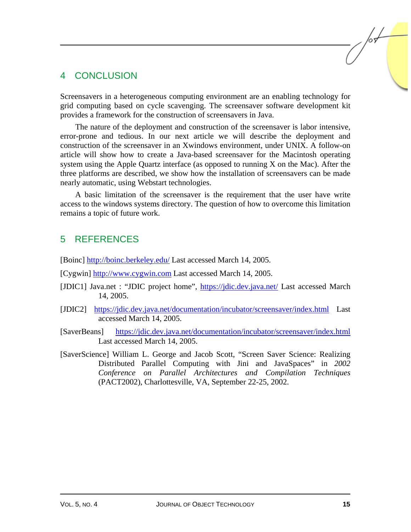## 4 CONCLUSION

Screensavers in a heterogeneous computing environment are an enabling technology for grid computing based on cycle scavenging. The screensaver software development kit provides a framework for the construction of screensavers in Java.

The nature of the deployment and construction of the screensaver is labor intensive, error-prone and tedious. In our next article we will describe the deployment and construction of the screensaver in an Xwindows environment, under UNIX. A follow-on article will show how to create a Java-based screensaver for the Macintosh operating system using the Apple Quartz interface (as opposed to running X on the Mac). After the three platforms are described, we show how the installation of screensavers can be made nearly automatic, using Webstart technologies.

A basic limitation of the screensaver is the requirement that the user have write access to the windows systems directory. The question of how to overcome this limitation remains a topic of future work.

## 5 REFERENCES

[Boinc] http://boinc.berkeley.edu/ Last accessed March 14, 2005.

[Cygwin] http://www.cygwin.com Last accessed March 14, 2005.

- [JDIC1] Java.net : "JDIC project home", https://jdic.dev.java.net/ Last accessed March 14, 2005.
- [JDIC2] https://jdic.dev.java.net/documentation/incubator/screensaver/index.html Last accessed March 14, 2005.
- [SaverBeans] https://jdic.dev.java.net/documentation/incubator/screensaver/index.html Last accessed March 14, 2005.
- [SaverScience] William L. George and Jacob Scott, "Screen Saver Science: Realizing Distributed Parallel Computing with Jini and JavaSpaces" in *2002 Conference on Parallel Architectures and Compilation Techniques* (PACT2002), Charlottesville, VA, September 22-25, 2002.